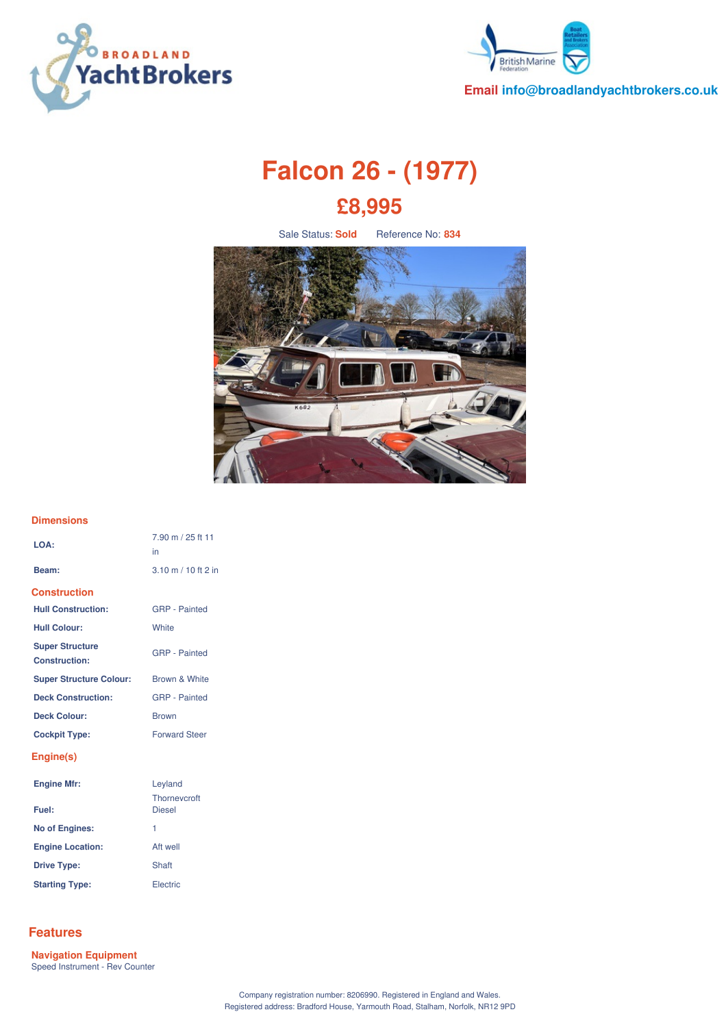



**Email info@broadlandyachtbrokers.co.uk**

# **Falcon 26 - (1977) £8,995**

Sale Status: **Sold** Reference No: 834



#### **Dimensions**

| LOA:                                           | 7.90 m / 25 ft 11<br>in                       |
|------------------------------------------------|-----------------------------------------------|
| Beam:                                          | $3.10 \text{ m} / 10 \text{ ft} 2 \text{ in}$ |
| <b>Construction</b>                            |                                               |
| <b>Hull Construction:</b>                      | <b>GRP</b> - Painted                          |
| <b>Hull Colour:</b>                            | <b>White</b>                                  |
| <b>Super Structure</b><br><b>Construction:</b> | <b>GRP</b> - Painted                          |
| <b>Super Structure Colour:</b>                 | Brown & White                                 |
| <b>Deck Construction:</b>                      | <b>GRP</b> - Painted                          |
| <b>Deck Colour:</b>                            | <b>Brown</b>                                  |
| <b>Cockpit Type:</b>                           | <b>Forward Steer</b>                          |
| Engine(s)                                      |                                               |
| <b>Engine Mfr:</b>                             | Leyland<br>Thorneycroft                       |
| Fuel:                                          | <b>Diesel</b>                                 |
| <b>No of Engines:</b>                          | 1                                             |
| <b>Engine Location:</b>                        | Aft well                                      |
| <b>Drive Type:</b>                             | Shaft                                         |
| <b>Starting Type:</b>                          | Electric                                      |

## **Features**

**Navigation Equipment** Speed Instrument - Rev Counter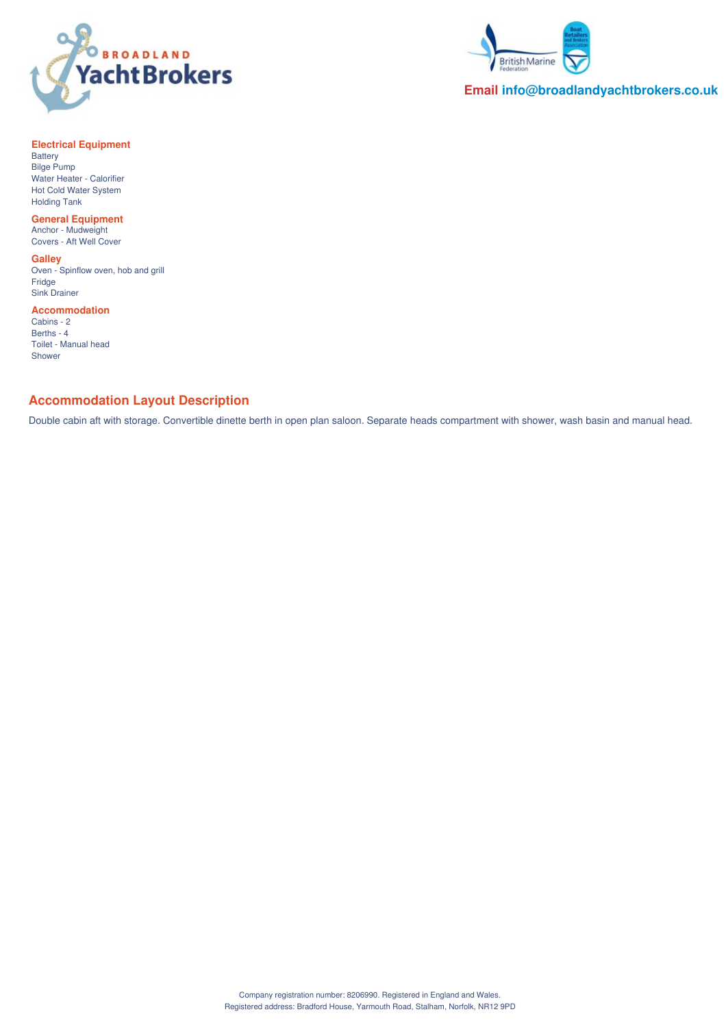



**Email info@broadlandyachtbrokers.co.uk**

### **Electrical Equipment**

Battery Bilge Pump Water Heater - Calorifier Hot Cold Water System Holding Tank

### **General Equipment**

Anchor - Mudweight Covers - Aft Well Cover

#### **Galley**

Oven - Spinflow oven, hob and grill Fridge Sink Drainer

#### **Accommodation**

Cabins - 2 Berths - 4 Toilet - Manual head Shower

## **Accommodation Layout Description**

Double cabin aft with storage. Convertible dinette berth in open plan saloon. Separate heads compartment with shower, wash basin and manual head.